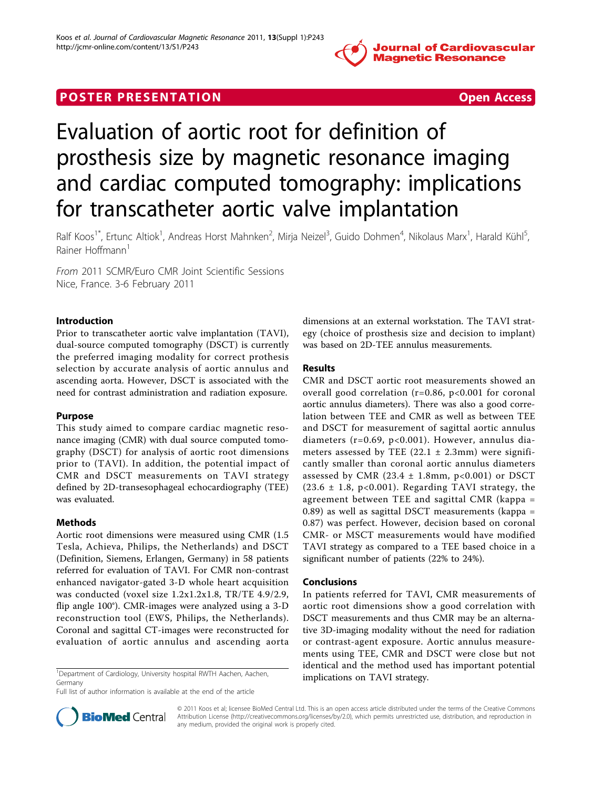

## **POSTER PRESENTATION CONSIDERATION CONSIDERATION**



# Evaluation of aortic root for definition of prosthesis size by magnetic resonance imaging and cardiac computed tomography: implications for transcatheter aortic valve implantation

Ralf Koos<sup>1\*</sup>, Ertunc Altiok<sup>1</sup>, Andreas Horst Mahnken<sup>2</sup>, Mirja Neizel<sup>3</sup>, Guido Dohmen<sup>4</sup>, Nikolaus Marx<sup>1</sup>, Harald Kühl<sup>5</sup> , Rainer Hoffmann<sup>1</sup>

From 2011 SCMR/Euro CMR Joint Scientific Sessions Nice, France. 3-6 February 2011

### Introduction

Prior to transcatheter aortic valve implantation (TAVI), dual-source computed tomography (DSCT) is currently the preferred imaging modality for correct prothesis selection by accurate analysis of aortic annulus and ascending aorta. However, DSCT is associated with the need for contrast administration and radiation exposure.

## Purpose

This study aimed to compare cardiac magnetic resonance imaging (CMR) with dual source computed tomography (DSCT) for analysis of aortic root dimensions prior to (TAVI). In addition, the potential impact of CMR and DSCT measurements on TAVI strategy defined by 2D-transesophageal echocardiography (TEE) was evaluated.

## Methods

Aortic root dimensions were measured using CMR (1.5 Tesla, Achieva, Philips, the Netherlands) and DSCT (Definition, Siemens, Erlangen, Germany) in 58 patients referred for evaluation of TAVI. For CMR non-contrast enhanced navigator-gated 3-D whole heart acquisition was conducted (voxel size 1.2x1.2x1.8, TR/TE 4.9/2.9, flip angle 100°). CMR-images were analyzed using a 3-D reconstruction tool (EWS, Philips, the Netherlands). Coronal and sagittal CT-images were reconstructed for evaluation of aortic annulus and ascending aorta

<sup>1</sup>Department of Cardiology, University hospital RWTH Aachen, Aachen, **implications on TAVI strategy**. Germany

Full list of author information is available at the end of the article



### Results

CMR and DSCT aortic root measurements showed an overall good correlation ( $r=0.86$ ,  $p<0.001$  for coronal aortic annulus diameters). There was also a good correlation between TEE and CMR as well as between TEE and DSCT for measurement of sagittal aortic annulus diameters (r=0.69, p<0.001). However, annulus diameters assessed by TEE  $(22.1 \pm 2.3 \text{mm})$  were significantly smaller than coronal aortic annulus diameters assessed by CMR (23.4  $\pm$  1.8mm, p<0.001) or DSCT  $(23.6 \pm 1.8, \text{ p}<0.001)$ . Regarding TAVI strategy, the agreement between TEE and sagittal CMR (kappa = 0.89) as well as sagittal DSCT measurements (kappa = 0.87) was perfect. However, decision based on coronal CMR- or MSCT measurements would have modified TAVI strategy as compared to a TEE based choice in a significant number of patients (22% to 24%).

#### Conclusions

In patients referred for TAVI, CMR measurements of aortic root dimensions show a good correlation with DSCT measurements and thus CMR may be an alternative 3D-imaging modality without the need for radiation or contrast-agent exposure. Aortic annulus measurements using TEE, CMR and DSCT were close but not identical and the method used has important potential



© 2011 Koos et al; licensee BioMed Central Ltd. This is an open access article distributed under the terms of the Creative Commons Attribution License [\(http://creativecommons.org/licenses/by/2.0](http://creativecommons.org/licenses/by/2.0)), which permits unrestricted use, distribution, and reproduction in any medium, provided the original work is properly cited.